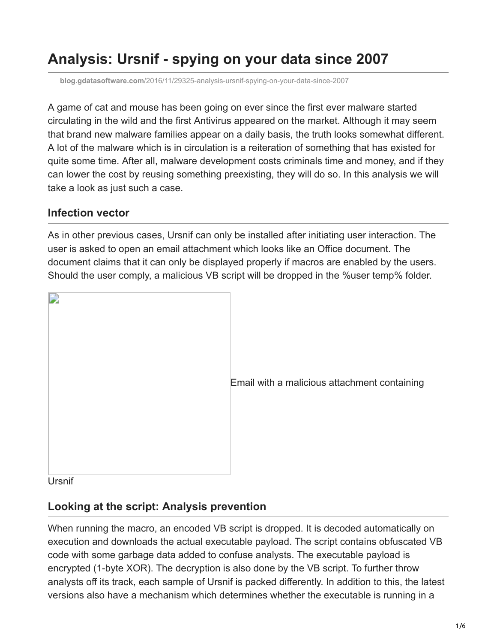# <span id="page-0-0"></span>**Analysis: Ursnif - spying on your data since 2007**

**blog.gdatasoftware.com**[/2016/11/29325-analysis-ursnif-spying-on-your-data-since-2007](https://blog.gdatasoftware.com/2016/11/29325-analysis-ursnif-spying-on-your-data-since-2007)

A game of cat and mouse has been going on ever since the first ever malware started circulating in the wild and the first Antivirus appeared on the market. Although it may seem that brand new malware families appear on a daily basis, the truth looks somewhat different. A lot of the malware which is in circulation is a reiteration of something that has existed for quite some time. After all, malware development costs criminals time and money, and if they can lower the cost by reusing something preexisting, they will do so. In this analysis we will take a look as just such a case.

#### **Infection vector**

As in other previous cases, Ursnif can only be installed after initiating user interaction. The user is asked to open an email attachment which looks like an Office document. The document claims that it can only be displayed properly if macros are enabled by the users. Should the user comply, a malicious VB script will be dropped in the %user temp% folder.



[E](https://blog.gdatasoftware.com/fileadmin/web/general/images/blog/2016/11_2016/ursnif_malspam.png)mail with a malicious attachment containing

**Ursnif** 

#### **Looking at the script: Analysis prevention**

When running the macro, an encoded VB script is dropped. It is decoded automatically on execution and downloads the actual executable payload. The script contains obfuscated VB code with some garbage data added to confuse analysts. The executable payload is encrypted (1-byte XOR). The decryption is also done by the VB script. To further throw analysts off its track, each sample of Ursnif is packed differently. In addition to this, the latest versions also have a mechanism which determines whether the executable is running in a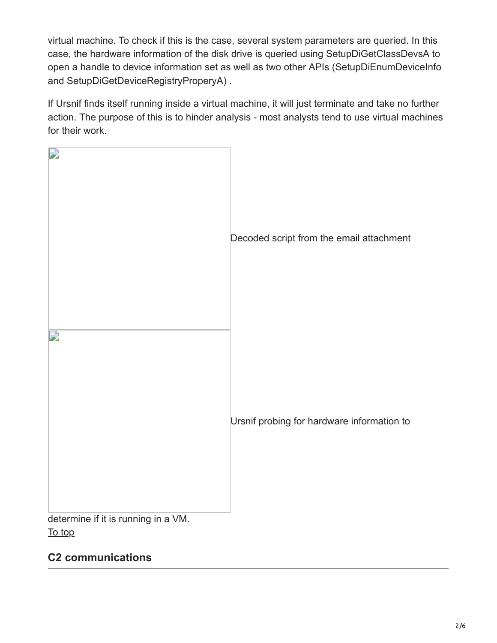virtual machine. To check if this is the case, several system parameters are queried. In this case, the hardware information of the disk drive is queried using SetupDiGetClassDevsA to open a handle to device information set as well as two other APIs (SetupDiEnumDeviceInfo and SetupDiGetDeviceRegistryProperyA) .

If Ursnif finds itself running inside a virtual machine, it will just terminate and take no further action. The purpose of this is to hinder analysis - most analysts tend to use virtual machines for their work.



#### **C2 communications**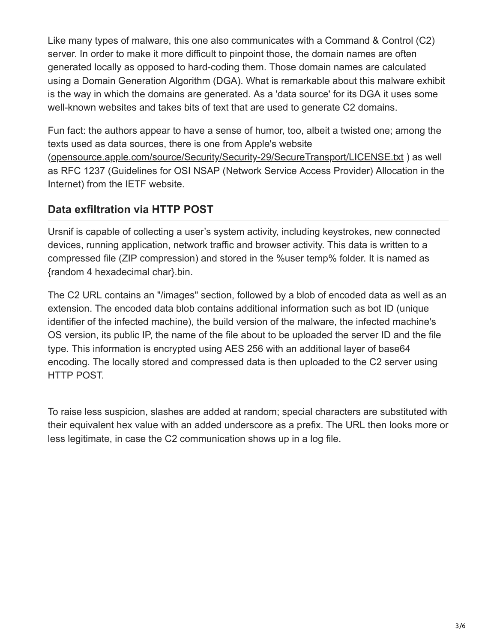Like many types of malware, this one also communicates with a Command & Control (C2) server. In order to make it more difficult to pinpoint those, the domain names are often generated locally as opposed to hard-coding them. Those domain names are calculated using a Domain Generation Algorithm (DGA). What is remarkable about this malware exhibit is the way in which the domains are generated. As a 'data source' for its DGA it uses some well-known websites and takes bits of text that are used to generate C2 domains.

Fun fact: the authors appear to have a sense of humor, too, albeit a twisted one; among the texts used as data sources, there is one from Apple's website ([opensource.apple.com/source/Security/Security-29/SecureTransport/LICENSE.txt](http://opensource.apple.com/source/Security/Security-29/SecureTransport/LICENSE.txt)) ) as well as RFC 1237 (Guidelines for OSI NSAP (Network Service Access Provider) Allocation in the Internet) from the IETF website.

## **Data exfiltration via HTTP POST**

Ursnif is capable of collecting a user's system activity, including keystrokes, new connected devices, running application, network traffic and browser activity. This data is written to a compressed file (ZIP compression) and stored in the %user temp% folder. It is named as {random 4 hexadecimal char}.bin.

The C2 URL contains an "/images" section, followed by a blob of encoded data as well as an extension. The encoded data blob contains additional information such as bot ID (unique identifier of the infected machine), the build version of the malware, the infected machine's OS version, its public IP, the name of the file about to be uploaded the server ID and the file type. This information is encrypted using AES 256 with an additional layer of base64 encoding. The locally stored and compressed data is then uploaded to the C2 server using HTTP POST.

To raise less suspicion, slashes are added at random; special characters are substituted with their equivalent hex value with an added underscore as a prefix. The URL then looks more or less legitimate, in case the C2 communication shows up in a log file.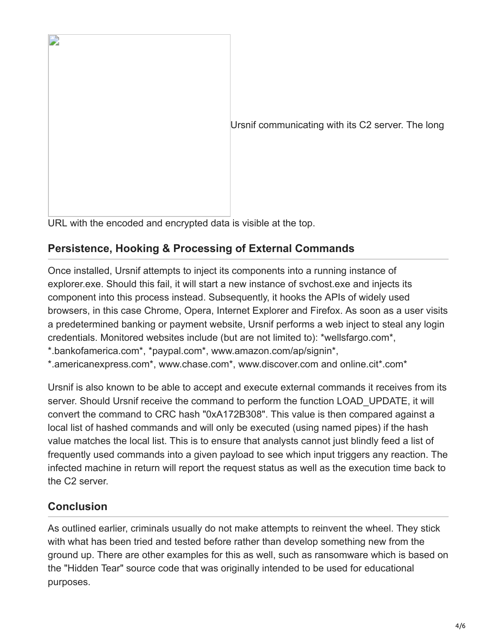

[U](https://blog.gdatasoftware.com/fileadmin/web/general/images/blog/2016/11_2016/ursnif_CC_Communication.png)rsnif communicating with its C2 server. The long

URL with the encoded and encrypted data is visible at the top.

## **Persistence, Hooking & Processing of External Commands**

Once installed, Ursnif attempts to inject its components into a running instance of explorer.exe. Should this fail, it will start a new instance of svchost.exe and injects its component into this process instead. Subsequently, it hooks the APIs of widely used browsers, in this case Chrome, Opera, Internet Explorer and Firefox. As soon as a user visits a predetermined banking or payment website, Ursnif performs a web inject to steal any login credentials. Monitored websites include (but are not limited to): \*wellsfargo.com\*,

\*.bankofamerica.com\*, \*paypal.com\*, www.amazon.com/ap/signin\*,

\*.americanexpress.com\*, www.chase.com\*, www.discover.com and online.cit\*.com\*

Ursnif is also known to be able to accept and execute external commands it receives from its server. Should Ursnif receive the command to perform the function LOAD UPDATE, it will convert the command to CRC hash "0xA172B308". This value is then compared against a local list of hashed commands and will only be executed (using named pipes) if the hash value matches the local list. This is to ensure that analysts cannot just blindly feed a list of frequently used commands into a given payload to see which input triggers any reaction. The infected machine in return will report the request status as well as the execution time back to the C2 server.

## **Conclusion**

As outlined earlier, criminals usually do not make attempts to reinvent the wheel. They stick with what has been tried and tested before rather than develop something new from the ground up. There are other examples for this as well, such as ransomware which is based on the "Hidden Tear" source code that was originally intended to be used for educational purposes.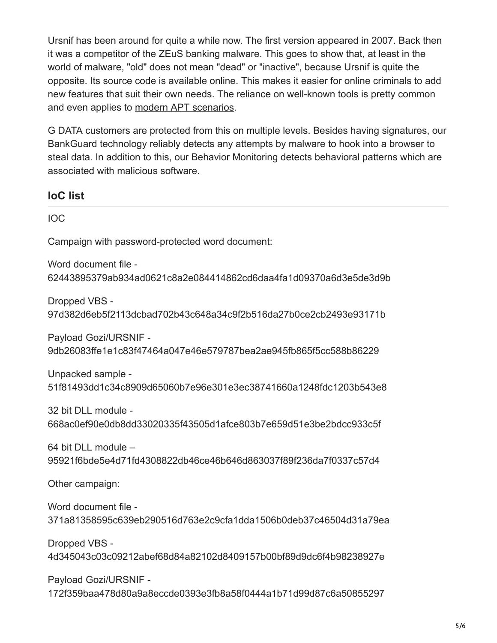Ursnif has been around for quite a while now. The first version appeared in 2007. Back then it was a competitor of the ZEuS banking malware. This goes to show that, at least in the world of malware, "old" does not mean "dead" or "inactive", because Ursnif is quite the opposite. Its source code is available online. This makes it easier for online criminals to add new features that suit their own needs. The reliance on well-known tools is pretty common and even applies to [modern APT scenarios.](https://www.gdata.de/blog/2016/11/koenig-im-eigenen-reich-3)

G DATA customers are protected from this on multiple levels. Besides having signatures, our BankGuard technology reliably detects any attempts by malware to hook into a browser to steal data. In addition to this, our Behavior Monitoring detects behavioral patterns which are associated with malicious software.

**IoC list**

IOC

Campaign with password-protected word document:

Word document file - 62443895379ab934ad0621c8a2e084414862cd6daa4fa1d09370a6d3e5de3d9b

Dropped VBS - 97d382d6eb5f2113dcbad702b43c648a34c9f2b516da27b0ce2cb2493e93171b

Payload Gozi/URSNIF - 9db26083ffe1e1c83f47464a047e46e579787bea2ae945fb865f5cc588b86229

Unpacked sample - 51f81493dd1c34c8909d65060b7e96e301e3ec38741660a1248fdc1203b543e8

32 bit DLL module - 668ac0ef90e0db8dd33020335f43505d1afce803b7e659d51e3be2bdcc933c5f

64 bit DLL module – 95921f6bde5e4d71fd4308822db46ce46b646d863037f89f236da7f0337c57d4

Other campaign:

Word document file - 371a81358595c639eb290516d763e2c9cfa1dda1506b0deb37c46504d31a79ea

Dropped VBS - 4d345043c03c09212abef68d84a82102d8409157b00bf89d9dc6f4b98238927e

Payload Gozi/URSNIF - 172f359baa478d80a9a8eccde0393e3fb8a58f0444a1b71d99d87c6a50855297